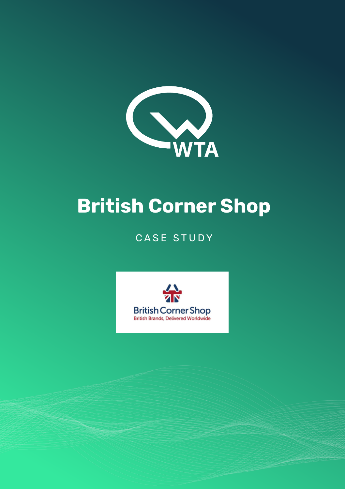

# **British Corner Shop**

# CASE STUDY

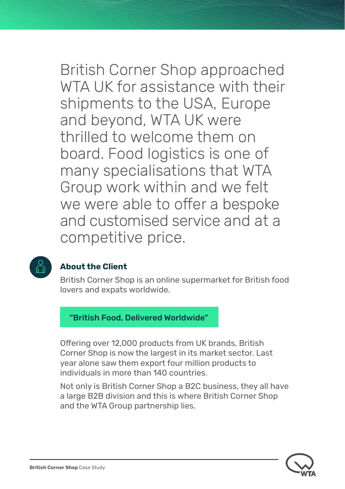British Corner Shop approached WTA UK for assistance with their shipments to the USA, Europe and beyond, WTA UK were thrilled to welcome them on board. Food logistics is one of many specialisations that WTA Group work within and we felt we were able to offer a bespoke and customised service and at a competitive price.



## **About the Client**

British Corner Shop is an online supermarket for British food lovers and expats worldwide.

"British Food, Delivered Worldwide"

Offering over 12,000 products from UK brands, British Corner Shop is now the largest in its market sector. Last year alone saw them export four million products to individuals in more than 140 countries.

Not only is British Corner Shop a B2C business, they all have a large B2B division and this is where British Corner Shop and the WTA Group partnership lies.

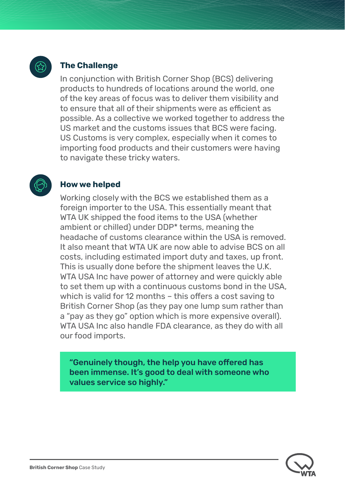

#### **The Challenge**

In conjunction with British Corner Shop (BCS) delivering products to hundreds of locations around the world, one of the key areas of focus was to deliver them visibility and to ensure that all of their shipments were as efficient as possible. As a collective we worked together to address the US market and the customs issues that BCS were facing. US Customs is very complex, especially when it comes to importing food products and their customers were having to navigate these tricky waters.



#### **How we helped**

Working closely with the BCS we established them as a foreign importer to the USA. This essentially meant that WTA UK shipped the food items to the USA (whether ambient or chilled) under DDP\* terms, meaning the headache of customs clearance within the USA is removed. It also meant that WTA UK are now able to advise BCS on all costs, including estimated import duty and taxes, up front. This is usually done before the shipment leaves the U.K. WTA USA Inc have power of attorney and were quickly able to set them up with a continuous customs bond in the USA, which is valid for 12 months – this offers a cost saving to British Corner Shop (as they pay one lump sum rather than a "pay as they go" option which is more expensive overall). WTA USA Inc also handle FDA clearance, as they do with all our food imports.

"Genuinely though, the help you have offered has been immense. It's good to deal with someone who values service so highly."

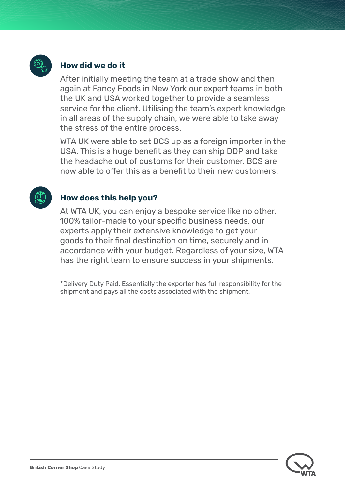

### **How did we do it**

After initially meeting the team at a trade show and then again at Fancy Foods in New York our expert teams in both the UK and USA worked together to provide a seamless service for the client. Utilising the team's expert knowledge in all areas of the supply chain, we were able to take away the stress of the entire process.

WTA UK were able to set BCS up as a foreign importer in the USA. This is a huge benefit as they can ship DDP and take the headache out of customs for their customer. BCS are now able to offer this as a benefit to their new customers.

#### **How does this help you?**

At WTA UK, you can enjoy a bespoke service like no other. 100% tailor-made to your specific business needs, our experts apply their extensive knowledge to get your goods to their final destination on time, securely and in accordance with your budget. Regardless of your size, WTA has the right team to ensure success in your shipments.

\*Delivery Duty Paid. Essentially the exporter has full responsibility for the shipment and pays all the costs associated with the shipment.